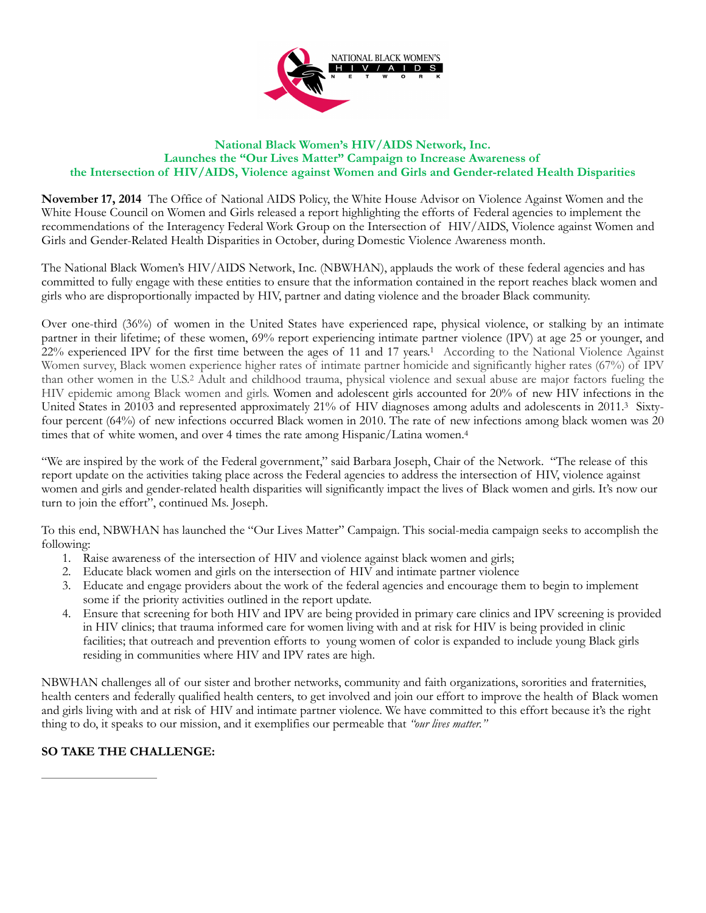

## **National Black Women's HIV/AIDS Network, Inc. Launches the "Our Lives Matter" Campaign to Increase Awareness of the Intersection of HIV/AIDS, Violence against Women and Girls and Gender-related Health Disparities**

**November 17, 2014** The Office of National AIDS Policy, the White House Advisor on Violence Against Women and the White House Council on Women and Girls released a report highlighting the efforts of Federal agencies to implement the recommendations of the Interagency Federal Work Group on the Intersection of HIV/AIDS, Violence against Women and Girls and Gender-Related Health Disparities in October, during Domestic Violence Awareness month.

The National Black Women's HIV/AIDS Network, Inc. (NBWHAN), applauds the work of these federal agencies and has committed to fully engage with these entities to ensure that the information contained in the report reaches black women and girls who are disproportionally impacted by HIV, partner and dating violence and the broader Black community.

Over one-third (36%) of women in the United States have experienced rape, physical violence, or stalking by an intimate partner in their lifetime; of these women, 69% report experiencing intimate partner violence (IPV) at age 25 or younger, and 22% experienced IPV for the first time between the ages of 11 and 17 years.<sup>1</sup> According to the National Violence Against Women survey, Black women experience higher rates of intimate partner homicide and significantly higher rates (67%) of IPV than other women in the U.S.<sup>2</sup> Adult and childhood trauma, physical violence and sexual abuse are major factors fueling the HIV epidemic among Black women and girls. Women and adolescent girls accounted for 20% of new HIV infections in the United States in 20103 and represented approximately 21% of HIV diagnoses among adults and adolescents in 2011.<sup>3</sup> Sixtyfour percent (64%) of new infections occurred Black women in 2010. The rate of new infections among black women was 20 times that of white women, and over 4 times the rate among Hispanic/Latina women.4

"We are inspired by the work of the Federal government," said Barbara Joseph, Chair of the Network. "The release of this report update on the activities taking place across the Federal agencies to address the intersection of HIV, violence against women and girls and gender-related health disparities will significantly impact the lives of Black women and girls. It's now our turn to join the effort", continued Ms. Joseph.

To this end, NBWHAN has launched the "Our Lives Matter" Campaign. This social-media campaign seeks to accomplish the following:

- 1. Raise awareness of the intersection of HIV and violence against black women and girls;
- 2. Educate black women and girls on the intersection of HIV and intimate partner violence
- 3. Educate and engage providers about the work of the federal agencies and encourage them to begin to implement some if the priority activities outlined in the report update.
- 4. Ensure that screening for both HIV and IPV are being provided in primary care clinics and IPV screening is provided in HIV clinics; that trauma informed care for women living with and at risk for HIV is being provided in clinic facilities; that outreach and prevention efforts to young women of color is expanded to include young Black girls residing in communities where HIV and IPV rates are high.

NBWHAN challenges all of our sister and brother networks, community and faith organizations, sororities and fraternities, health centers and federally qualified health centers, to get involved and join our effort to improve the health of Black women and girls living with and at risk of HIV and intimate partner violence. We have committed to this effort because it's the right thing to do, it speaks to our mission, and it exemplifies our permeable that *"our lives matter."*

## **SO TAKE THE CHALLENGE:**